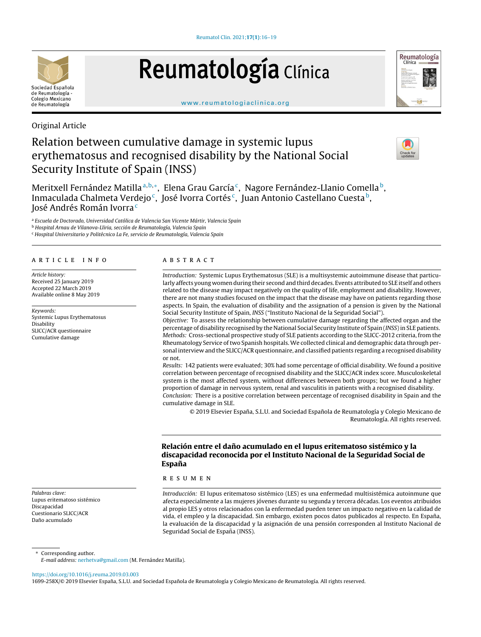# Reumatología Clínica



#### [www.reumatologiaclinica.org](http://www.reumatologiaclinica.org)



## Original Article

# Relation between cumulative damage in systemic lupus erythematosus and recognised disability by the National Social Security Institute of Spain (INSS)



Meritxell Fernández Matilla<sup>a,b,</sup>\*, Elena Grau García<sup>c</sup>, Nagore Fernández-Llanio Comella<sup>b</sup>, Inmaculada Chalmeta Verdejo<sup>c</sup>, José Ivorra Cortés<sup>c</sup>, Juan Antonio Castellano Cuesta<sup>b</sup>, José Andrés Román Ivorra<sup>c</sup>

<sup>a</sup> Escuela de Doctorado, Universidad Católica de Valencia San Vicente Mártir, Valencia Spain

<sup>b</sup> Hospital Arnau de Vilanova-Lliria, sección de Reumatología, Valencia Spain

<sup>c</sup> Hospital Universitario y Politécnico La Fe, servicio de Reumatología, Valencia Spain

#### a r t i c l e i n f o

Article history: Received 25 January 2019 Accepted 22 March 2019 Available online 8 May 2019

Keywords: Systemic Lupus Erythematosus Disability SLICC/ACR questionnaire Cumulative damage

#### A B S T R A C T

Introduction: Systemic Lupus Erythematosus (SLE) is a multisystemic autoimmune disease that particularly affects young women during their second and third decades. Events attributed to SLE itself and others related to the disease may impact negatively on the quality of life, employment and disability. However, there are not many studies focused on the impact that the disease may have on patients regarding those aspects. In Spain, the evaluation of disability and the assignation of a pension is given by the National Social Security Institute of Spain, INSS ("Instituto Nacional de la Seguridad Social").

Objective: To assess the relationship between cumulative damage regarding the affected organ and the percentage of disability recognised by the National Social Security Institute of Spain (INSS) in SLE patients. Methods: Cross-sectional prospective study of SLE patients according to the SLICC-2012 criteria, from the Rheumatology Service oftwo Spanish hospitals. We collected clinical and demographic data through personal interview and the SLICC/ACR questionnaire, and classified patients regarding a recognised disability or not.

Results: 142 patients were evaluated; 30% had some percentage of official disability. We found a positive correlation between percentage of recognised disability and the SLICC/ACR index score. Musculoskeletal system is the most affected system, without differences between both groups; but we found a higher proportion of damage in nervous system, renal and vasculitis in patients with a recognised disability. Conclusion: There is a positive correlation between percentage of recognised disability in Spain and the cumulative damage in SLE.

© 2019 Elsevier España, S.L.U. and Sociedad Española de Reumatología y Colegio Mexicano de Reumatología. All rights reserved.

### Relación entre el daño acumulado en el lupus eritematoso sistémico y la discapacidad reconocida por el Instituto Nacional de la Seguridad Social de Espana˜

#### r e s u m e n

Introducción: El lupus eritematoso sistémico (LES) es una enfermedad multisistémica autoinmune que afecta especialmente a las mujeres jóvenes durante su segunda y tercera décadas. Los eventos atribuidos al propio LES y otros relacionados con la enfermedad pueden tener un impacto negativo en la calidad de vida, el empleo y la discapacidad. Sin embargo, existen pocos datos publicados al respecto. En España, la evaluación de la discapacidad y la asignación de una pensión corresponden al Instituto Nacional de Seguridad Social de España (INSS).

Corresponding author.

Lupus eritematoso sistémico

Palabras clave:

Discapacidad Cuestionario SLICC/ACR Daño acumulado

<https://doi.org/10.1016/j.reuma.2019.03.003>

1699-258X/© 2019 Elsevier España, S.L.U. and Sociedad Española de Reumatología y Colegio Mexicano de Reumatología. All rights reserved.

E-mail address: [nerhetva@gmail.com](mailto:nerhetva@gmail.com) (M. Fernández Matilla).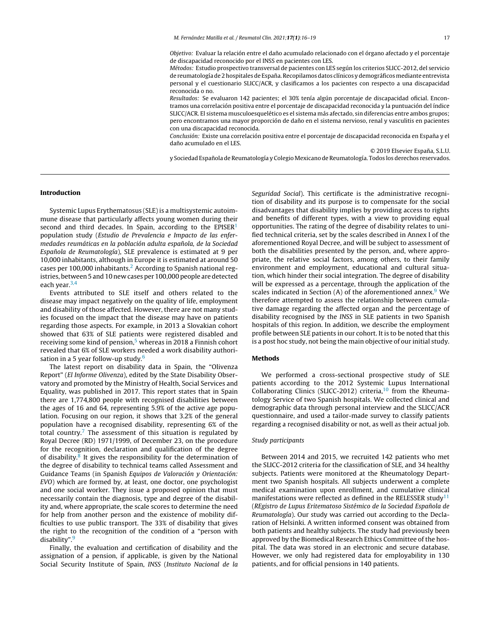Objetivo: Evaluar la relación entre el daño acumulado relacionado con el órgano afectado y el porcentaje de discapacidad reconocido por el INSS en pacientes con LES.

Métodos: Estudio prospectivo transversal de pacientes con LES según los criterios SLICC-2012, del servicio de reumatología de 2 hospitales de España. Recopilamos datos clínicos y demográficos mediante entrevista personal y el cuestionario SLICC/ACR, y clasificamos a los pacientes con respecto a una discapacidad reconocida o no.

Resultados: Se evaluaron 142 pacientes; el 30% tenía algún porcentaje de discapacidad oficial. Encontramos una correlación positiva entre el porcentaje de discapacidad reconocida y la puntuación del índice SLICC/ACR. El sistema musculoesquelético es el sistema más afectado, sin diferencias entre ambos grupos; pero encontramos una mayor proporción de daño en el sistema nervioso, renal y vasculitis en pacientes con una discapacidad reconocida.

Conclusión: Existe una correlación positiva entre el porcentaje de discapacidad reconocida en España y el daño acumulado en el LES.

© 2019 Elsevier Espana, ˜ S.L.U.

y Sociedad Española de Reumatología y Colegio Mexicano de Reumatología. Todos los derechos reservados.

#### Introduction

Systemic Lupus Erythematosus (SLE) is a multisystemic autoimmune disease that particularly affects young women during their second and third decades. In Spain, according to the  $EPISER<sup>1</sup>$  $EPISER<sup>1</sup>$  $EPISER<sup>1</sup>$ population study (Estudio de Prevalencia e Impacto de las enfermedades reumáticas en la población adulta española, de la Sociedad Española de Reumatología), SLE prevalence is estimated at 9 per 10,000 inhabitants, although in Europe it is estimated at around 50 cases per 100,000 inhabitants.<sup>[2](#page-3-0)</sup> According to Spanish national registries, between 5 and 10 new cases per 100,000 people are detected each year. $3,4$ 

Events attributed to SLE itself and others related to the disease may impact negatively on the quality of life, employment and disability of those affected. However, there are not many studies focused on the impact that the disease may have on patients regarding those aspects. For example, in 2013 a Slovakian cohort showed that 63% of SLE patients were registered disabled and receiving some kind of pension,<sup>5</sup> [w](#page-3-0)hereas in 2018 a Finnish cohort revealed that 6% of SLE workers needed a work disability authori-sation in a 5 year follow-up study.<sup>[6](#page-3-0)</sup>

The latest report on disability data in Spain, the "Olivenza Report" (El Informe Olivenza), edited by the State Disability Observatory and promoted by the Ministry of Health, Social Services and Equality, was published in 2017. This report states that in Spain there are 1,774,800 people with recognised disabilities between the ages of 16 and 64, representing 5.9% of the active age population. Focusing on our region, it shows that 3.2% of the general population have a recognised disability, representing 6% of the total country.<sup>[7](#page-3-0)</sup> The assessment of this situation is regulated by Royal Decree (RD) 1971/1999, of December 23, on the procedure for the recognition, declaration and qualification of the degree of disability.<sup>[8](#page-3-0)</sup> It gives the responsibility for the determination of the degree of disability to technical teams called Assessment and Guidance Teams (in Spanish Equipos de Valoración y Orientación: EVO) which are formed by, at least, one doctor, one psychologist and one social worker. They issue a proposed opinion that must necessarily contain the diagnosis, type and degree of the disability and, where appropriate, the scale scores to determine the need for help from another person and the existence of mobility difficulties to use public transport. The 33% of disability that gives the right to the recognition of the condition of a "person with disability".<sup>[9](#page-3-0)</sup>

Finally, the evaluation and certification of disability and the assignation of a pension, if applicable, is given by the National Social Security Institute of Spain, INSS (Instituto Nacional de la Seguridad Social). This certificate is the administrative recognition of disability and its purpose is to compensate for the social disadvantages that disability implies by providing access to rights and benefits of different types, with a view to providing equal opportunities. The rating of the degree of disability relates to unified technical criteria, set by the scales described in Annex I of the aforementioned Royal Decree, and will be subject to assessment of both the disabilities presented by the person, and, where appropriate, the relative social factors, among others, to their family environment and employment, educational and cultural situation, which hinder their social integration. The degree of disability will be expressed as a percentage, through the application of the scales indicated in Section (A) of the aforementioned annex. $9$  We therefore attempted to assess the relationship between cumulative damage regarding the affected organ and the percentage of disability recognised by the INSS in SLE patients in two Spanish hospitals of this region. In addition, we describe the employment profile between SLE patients in our cohort. It is to be noted that this is a post hoc study, not being the main objective of our initial study.

#### Methods

We performed a cross-sectional prospective study of SLE patients according to the 2012 Systemic Lupus International Collaborating Clinics (SLICC-2012) criteria,<sup>[10](#page-3-0)</sup> from the Rheumatology Service of two Spanish hospitals. We collected clinical and demographic data through personal interview and the SLICC/ACR questionnaire, and used a tailor-made survey to classify patients regarding a recognised disability or not, as well as their actual job.

#### Study participants

Between 2014 and 2015, we recruited 142 patients who met the SLICC-2012 criteria for the classification of SLE, and 34 healthy subjects. Patients were monitored at the Rheumatology Department two Spanish hospitals. All subjects underwent a complete medical examination upon enrollment, and cumulative clinical manifestations were reflected as defined in the RELESSER study<sup>[11](#page-3-0)</sup> (REgistro de Lupus Eritematoso Sistémico de la Sociedad Española de Reumatología). Our study was carried out according to the Declaration of Helsinki. A written informed consent was obtained from both patients and healthy subjects. The study had previously been approved by the Biomedical Research Ethics Committee of the hospital. The data was stored in an electronic and secure database. However, we only had registered data for employability in 130 patients, and for official pensions in 140 patients.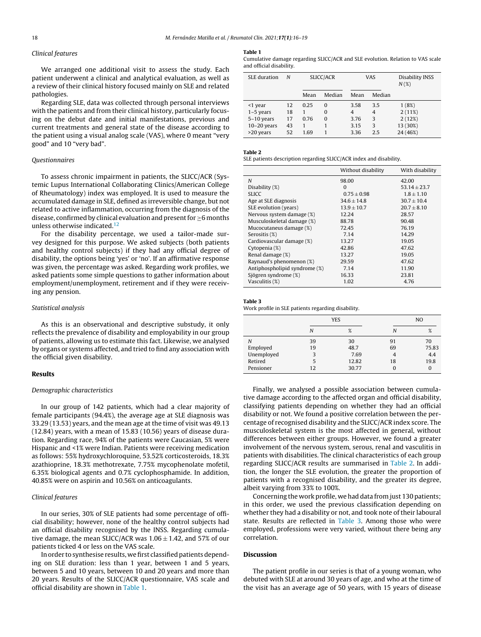#### Clinical features

We arranged one additional visit to assess the study. Each patient underwent a clinical and analytical evaluation, as well as a review of their clinical history focused mainly on SLE and related pathologies.

Regarding SLE, data was collected through personal interviews with the patients and from their clinical history, particularly focusing on the debut date and initial manifestations, previous and current treatments and general state of the disease according to the patient using a visual analog scale (VAS), where 0 meant "very good" and 10 "very bad".

#### Questionnaires

To assess chronic impairment in patients, the SLICC/ACR (Systemic Lupus International Collaborating Clinics/American College of Rheumatology) index was employed. It is used to measure the accumulated damage in SLE, defined as irreversible change, but not related to active inflammation, occurring from the diagnosis of the disease, confirmed by clinical evaluation and present for  $\geq$ 6 months unless otherwise indicated.[12](#page-3-0)

For the disability percentage, we used a tailor-made survey designed for this purpose. We asked subjects (both patients and healthy control subjects) if they had any official degree of disability, the options being 'yes' or 'no'. If an affirmative response was given, the percentage was asked. Regarding work profiles, we asked patients some simple questions to gather information about employment/unemployment, retirement and if they were receiving any pension.

#### Statistical analysis

As this is an observational and descriptive substudy, it only reflects the prevalence of disability and employability in our group of patients, allowing us to estimate this fact. Likewise, we analysed by organs or systems affected, and tried to find any association with the official given disability.

#### Results

#### Demographic characteristics

In our group of 142 patients, which had a clear majority of female participants (94.4%), the average age at SLE diagnosis was 33.29 (13.53) years, and the mean age at the time of visit was 49.13 (12.84) years, with a mean of 15.83 (10.56) years of disease duration. Regarding race, 94% of the patients were Caucasian, 5% were Hispanic and <1% were Indian. Patients were receiving medication as follows: 55% hydroxychloroquine, 53.52% corticosteroids, 18.3% azathioprine, 18.3% methotrexate, 7.75% mycophenolate mofetil, 6.35% biological agents and 0.7% cyclophosphamide. In addition, 40.85% were on aspirin and 10.56% on anticoagulants.

#### Clinical features

In our series, 30% of SLE patients had some percentage of official disability; however, none of the healthy control subjects had an official disability recognised by the INSS. Regarding cumulative damage, the mean SLICC/ACR was  $1.06 \pm 1.42$ , and 57% of our patients ticked 4 or less on the VAS scale.

In order to synthesise results, we first classified patients depending on SLE duration: less than 1 year, between 1 and 5 years, between 5 and 10 years, between 10 and 20 years and more than 20 years. Results of the SLICC/ACR questionnaire, VAS scale and official disability are shown in Table 1.

#### Table 1

Cumulative damage regarding SLICC/ACR and SLE evolution. Relation to VAS scale and official disability.

| SLE duration  | N  | SLICC/ACR |          | VAS  |                | Disability INSS<br>$N(\mathcal{X})$ |
|---------------|----|-----------|----------|------|----------------|-------------------------------------|
|               |    | Mean      | Median   | Mean | Median         |                                     |
| $<$ 1 year    | 12 | 0.25      | $\Omega$ | 3.58 | 3.5            | 1(8%)                               |
| $1-5$ years   | 18 |           | 0        | 4    | $\overline{4}$ | 2(11%)                              |
| $5-10$ years  | 17 | 0.76      | $\Omega$ | 3.76 | 3              | 2(12%)                              |
| $10-20$ years | 43 |           |          | 3.15 | 3              | 13 (30%)                            |
| >20 years     | 52 | 1.69      |          | 3.36 | 2.5            | 24 (46%)                            |

#### Table 2

SLE patients description regarding SLICC/ACR index and disability.

|                               | Without disability | With disability |  |
|-------------------------------|--------------------|-----------------|--|
| N                             | 98.00              | 42.00           |  |
| Disability (%)                | $\Omega$           | $53.14 + 23.7$  |  |
| <b>SLICC</b>                  | $0.75 + 0.98$      | $1.8 + 1.10$    |  |
| Age at SLE diagnosis          | $34.6 \pm 14.8$    | $30.7 + 10.4$   |  |
| SLE evolution (years)         | $13.9 \pm 10.7$    | $20.7 \pm 8.10$ |  |
| Nervous system damage (%)     | 12.24              | 28.57           |  |
| Musculoskeletal damage (%)    | 88.78              | 90.48           |  |
| Mucocutaneus damage (%)       | 72.45              | 76.19           |  |
| Serositis (%)                 | 7.14               | 14.29           |  |
| Cardiovascular damage (%)     | 13.27              | 19.05           |  |
| Cytopenia (%)                 | 42.86              | 47.62           |  |
| Renal damage (%)              | 13.27              | 19.05           |  |
| Raynaud's phenomenon (%)      | 29.59              | 47.62           |  |
| Antiphospholipid syndrome (%) | 7.14               | 11.90           |  |
| Sjögren syndrome (%)          | 16.33              | 23.81           |  |
| Vasculitis (%)                | 1.02               | 4.76            |  |

#### Table 3

Work profile in SLE patients regarding disability.

|            |    | <b>YES</b> | N <sub>O</sub> |       |
|------------|----|------------|----------------|-------|
|            | N  | %          | N              | %     |
| Ν          | 39 | 30         | 91             | 70    |
| Employed   | 19 | 48.7       | 69             | 75.83 |
| Unemployed | 3  | 7.69       |                | 4.4   |
| Retired    | 5  | 12.82      | 18             | 19.8  |
| Pensioner  | 12 | 30.77      | O              | 0     |

Finally, we analysed a possible association between cumulative damage according to the affected organ and official disability, classifying patients depending on whether they had an official disability or not. We found a positive correlation between the percentage of recognised disability and the SLICC/ACR index score. The musculoskeletal system is the most affected in general, without differences between either groups. However, we found a greater involvement of the nervous system, serous, renal and vasculitis in patients with disabilities. The clinical characteristics of each group regarding SLICC/ACR results are summarised in Table 2. In addition, the longer the SLE evolution, the greater the proportion of patients with a recognised disability, and the greater its degree, albeit varying from 33% to 100%.

Concerning the work profile, we had data from just 130 patients; in this order, we used the previous classification depending on whether they had a disability or not, and took note of their laboural state. Results are reflected in Table 3. Among those who were employed, professions were very varied, without there being any correlation.

#### Discussion

The patient profile in our series is that of a young woman, who debuted with SLE at around 30 years of age, and who at the time of the visit has an average age of 50 years, with 15 years of disease